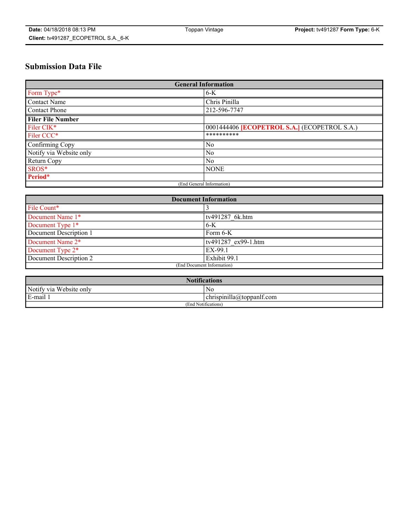# **Submission Data File**

| <b>General Information</b> |                                                     |
|----------------------------|-----------------------------------------------------|
| Form Type*                 | $6-K$                                               |
| Contact Name               | Chris Pinilla                                       |
| Contact Phone              | 212-596-7747                                        |
| <b>Filer File Number</b>   |                                                     |
| Filer CIK*                 | 0001444406 <b>[ECOPETROL S.A.]</b> (ECOPETROL S.A.) |
| Filer CCC*                 | **********                                          |
| Confirming Copy            | N <sub>0</sub>                                      |
| Notify via Website only    | N <sub>0</sub>                                      |
| Return Copy                | N <sub>0</sub>                                      |
| SROS*                      | <b>NONE</b>                                         |
| Period*                    |                                                     |
| (End General Information)  |                                                     |

| <b>Document Information</b> |                     |
|-----------------------------|---------------------|
| File Count*                 |                     |
| Document Name 1*            | tv491287 6k.htm     |
| Document Type 1*            | 6-K                 |
| Document Description 1      | Form 6-K            |
| Document Name 2*            | tv491287 ex99-1.htm |
| Document Type 2*            | EX-99.1             |
| Document Description 2      | Exhibit 99.1        |
| (End Document Information)  |                     |

| <b>Notifications</b>    |                                        |  |
|-------------------------|----------------------------------------|--|
| Notify via Website only | N0                                     |  |
| E-mail 1                | <br>10<br> chrispinilla(a)toppanIt.com |  |
| (End Notifications)     |                                        |  |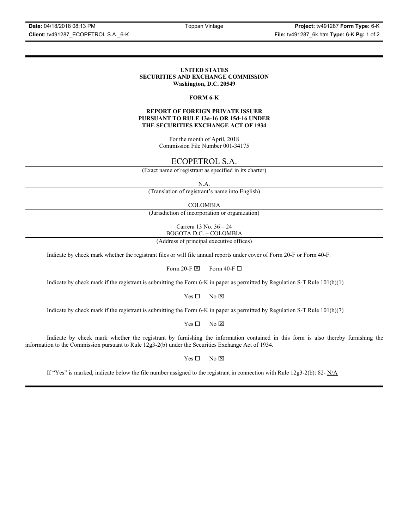**Date:** 04/18/2018 08:13 PM Toppan Vintage **Project:** tv491287 **Form Type:** 6-K **Client:** tv491287\_ECOPETROL S.A.\_6-K **File:** tv491287\_6k.htm **Type:** 6-K **Pg:** 1 of 2

#### **UNITED STATES SECURITIES AND EXCHANGE COMMISSION Washington, D.C. 20549**

#### **FORM 6-K**

#### **REPORT OF FOREIGN PRIVATE ISSUER PURSUANT TO RULE 13a-16 OR 15d-16 UNDER THE SECURITIES EXCHANGE ACT OF 1934**

For the month of April, 2018 Commission File Number 001-34175

## ECOPETROL S.A.

(Exact name of registrant as specified in its charter)

N.A.

(Translation of registrant's name into English)

COLOMBIA

(Jurisdiction of incorporation or organization)

Carrera 13 No. 36 – 24 BOGOTA D.C. – COLOMBIA

(Address of principal executive offices)

Indicate by check mark whether the registrant files or will file annual reports under cover of Form 20-F or Form 40-F.

Form 20-F  $\boxtimes$  Form 40-F  $\Box$ 

Indicate by check mark if the registrant is submitting the Form 6-K in paper as permitted by Regulation S-T Rule 101(b)(1)

 $Yes \Box$  No  $\overline{\times}$ 

Indicate by check mark if the registrant is submitting the Form 6-K in paper as permitted by Regulation S-T Rule 101(b)(7)

 $Yes \Box$  No  $\boxtimes$ 

Indicate by check mark whether the registrant by furnishing the information contained in this form is also thereby furnishing the information to the Commission pursuant to Rule 12g3-2(b) under the Securities Exchange Act of 1934.

 $Yes \Box$  No  $\boxtimes$ 

If "Yes" is marked, indicate below the file number assigned to the registrant in connection with Rule  $12g3-2(b)$ : 82- N/A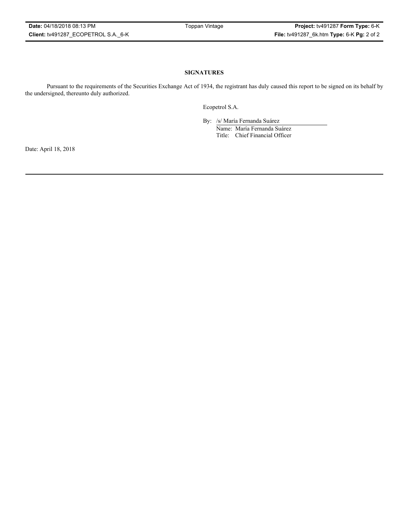### **SIGNATURES**

Pursuant to the requirements of the Securities Exchange Act of 1934, the registrant has duly caused this report to be signed on its behalf by the undersigned, thereunto duly authorized.

Ecopetrol S.A.

By: /s/ María Fernanda Suárez Name: María Fernanda Suárez Title: Chief Financial Officer

Date: April 18, 2018